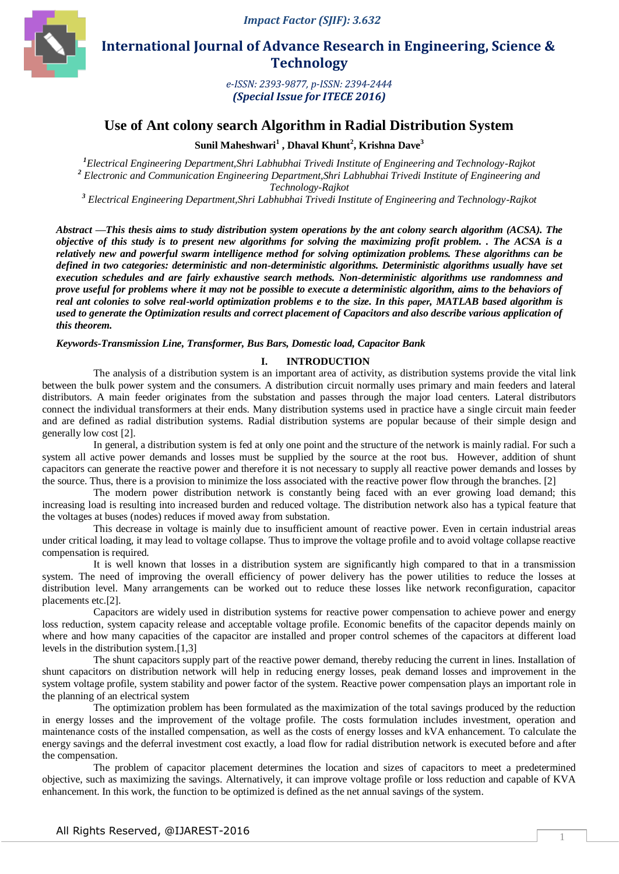

 **International Journal of Advance Research in Engineering, Science & Technology** 

> *e-ISSN: 2393-9877, p-ISSN: 2394-2444 (Special Issue for ITECE 2016)*

# **Use of Ant colony search Algorithm in Radial Distribution System**

**Sunil Maheshwari<sup>1</sup> , Dhaval Khunt<sup>2</sup> , Krishna Dave<sup>3</sup>**

*<sup>1</sup>Electrical Engineering Department,Shri Labhubhai Trivedi Institute of Engineering and Technology-Rajkot <sup>2</sup> Electronic and Communication Engineering Department,Shri Labhubhai Trivedi Institute of Engineering and Technology-Rajkot*

*<sup>3</sup> Electrical Engineering Department,Shri Labhubhai Trivedi Institute of Engineering and Technology-Rajkot*

*Abstract* **—***This thesis aims to study distribution system operations by the ant colony search algorithm (ACSA). The objective of this study is to present new algorithms for solving the maximizing profit problem. . The ACSA is a relatively new and powerful swarm intelligence method for solving optimization problems. These algorithms can be defined in two categories: deterministic and non-deterministic algorithms. Deterministic algorithms usually have set execution schedules and are fairly exhaustive search methods. Non-deterministic algorithms use randomness and prove useful for problems where it may not be possible to execute a deterministic algorithm, aims to the behaviors of real ant colonies to solve real-world optimization problems e to the size. In this paper, MATLAB based algorithm is used to generate the Optimization results and correct placement of Capacitors and also describe various application of this theorem.*

*Keywords-Transmission Line, Transformer, Bus Bars, Domestic load, Capacitor Bank*

## **I. INTRODUCTION**

The analysis of a distribution system is an important area of activity, as distribution systems provide the vital link between the bulk power system and the consumers. A distribution circuit normally uses primary and main feeders and lateral distributors. A main feeder originates from the substation and passes through the major load centers. Lateral distributors connect the individual transformers at their ends. Many distribution systems used in practice have a single circuit main feeder and are defined as radial distribution systems. Radial distribution systems are popular because of their simple design and generally low cost [2].

In general, a distribution system is fed at only one point and the structure of the network is mainly radial. For such a system all active power demands and losses must be supplied by the source at the root bus. However, addition of shunt capacitors can generate the reactive power and therefore it is not necessary to supply all reactive power demands and losses by the source. Thus, there is a provision to minimize the loss associated with the reactive power flow through the branches. [2]

The modern power distribution network is constantly being faced with an ever growing load demand; this increasing load is resulting into increased burden and reduced voltage. The distribution network also has a typical feature that the voltages at buses (nodes) reduces if moved away from substation.

This decrease in voltage is mainly due to insufficient amount of reactive power. Even in certain industrial areas under critical loading, it may lead to voltage collapse. Thus to improve the voltage profile and to avoid voltage collapse reactive compensation is required.

It is well known that losses in a distribution system are significantly high compared to that in a transmission system. The need of improving the overall efficiency of power delivery has the power utilities to reduce the losses at distribution level. Many arrangements can be worked out to reduce these losses like network reconfiguration, capacitor placements etc.[2].

Capacitors are widely used in distribution systems for reactive power compensation to achieve power and energy loss reduction, system capacity release and acceptable voltage profile. Economic benefits of the capacitor depends mainly on where and how many capacities of the capacitor are installed and proper control schemes of the capacitors at different load levels in the distribution system.[1,3]

The shunt capacitors supply part of the reactive power demand, thereby reducing the current in lines. Installation of shunt capacitors on distribution network will help in reducing energy losses, peak demand losses and improvement in the system voltage profile, system stability and power factor of the system. Reactive power compensation plays an important role in the planning of an electrical system

The optimization problem has been formulated as the maximization of the total savings produced by the reduction in energy losses and the improvement of the voltage profile. The costs formulation includes investment, operation and maintenance costs of the installed compensation, as well as the costs of energy losses and kVA enhancement. To calculate the energy savings and the deferral investment cost exactly, a load flow for radial distribution network is executed before and after the compensation.

The problem of capacitor placement determines the location and sizes of capacitors to meet a predetermined objective, such as maximizing the savings. Alternatively, it can improve voltage profile or loss reduction and capable of KVA enhancement. In this work, the function to be optimized is defined as the net annual savings of the system.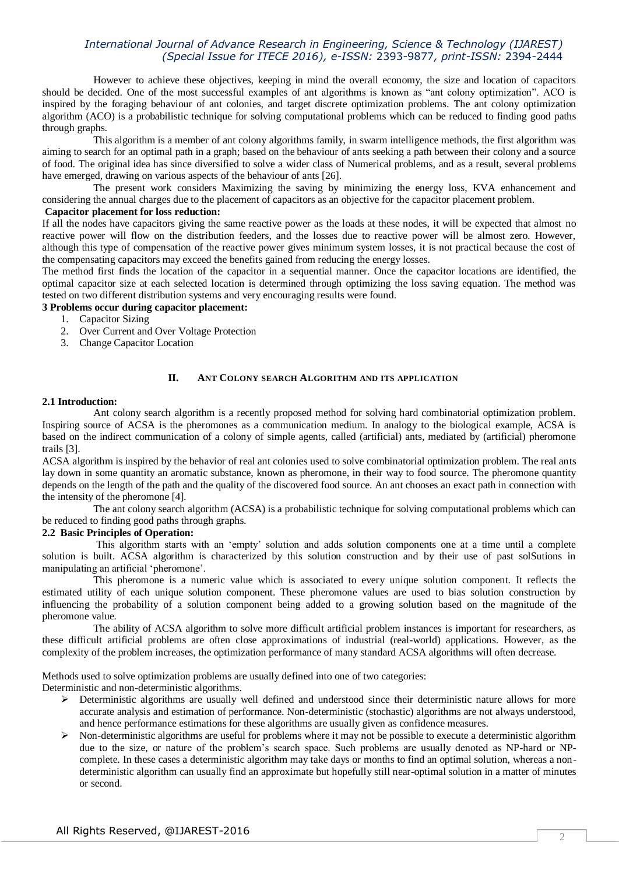However to achieve these objectives, keeping in mind the overall economy, the size and location of capacitors should be decided. One of the most successful examples of ant algorithms is known as "ant colony optimization". ACO is inspired by the foraging behaviour of ant colonies, and target discrete optimization problems. The ant colony optimization algorithm (ACO) is a probabilistic technique for solving computational problems which can be reduced to finding good paths through graphs.

This algorithm is a member of ant colony algorithms family, in swarm intelligence methods, the first algorithm was aiming to search for an optimal path in a graph; based on the behaviour of ants seeking a path between their colony and a source of food. The original idea has since diversified to solve a wider class of Numerical problems, and as a result, several problems have emerged, drawing on various aspects of the behaviour of ants [26].

The present work considers Maximizing the saving by minimizing the energy loss, KVA enhancement and considering the annual charges due to the placement of capacitors as an objective for the capacitor placement problem.

## **Capacitor placement for loss reduction:**

If all the nodes have capacitors giving the same reactive power as the loads at these nodes, it will be expected that almost no reactive power will flow on the distribution feeders, and the losses due to reactive power will be almost zero. However, although this type of compensation of the reactive power gives minimum system losses, it is not practical because the cost of the compensating capacitors may exceed the benefits gained from reducing the energy losses.

The method first finds the location of the capacitor in a sequential manner. Once the capacitor locations are identified, the optimal capacitor size at each selected location is determined through optimizing the loss saving equation. The method was tested on two different distribution systems and very encouraging results were found.

## **3 Problems occur during capacitor placement:**

- 1. Capacitor Sizing
- 2. Over Current and Over Voltage Protection
- 3. Change Capacitor Location

#### **II. ANT COLONY SEARCH ALGORITHM AND ITS APPLICATION**

#### **2.1 Introduction:**

Ant colony search algorithm is a recently proposed method for solving hard combinatorial optimization problem. Inspiring source of ACSA is the pheromones as a communication medium. In analogy to the biological example, ACSA is based on the indirect communication of a colony of simple agents, called (artificial) ants, mediated by (artificial) pheromone trails [3].

ACSA algorithm is inspired by the behavior of real ant colonies used to solve combinatorial optimization problem. The real ants lay down in some quantity an aromatic substance, known as pheromone, in their way to food source. The pheromone quantity depends on the length of the path and the quality of the discovered food source. An ant chooses an exact path in connection with the intensity of the pheromone [4].

The ant colony search algorithm (ACSA) is a probabilistic technique for solving computational problems which can be reduced to finding good paths through graphs.

#### **2.2 Basic Principles of Operation:**

This algorithm starts with an "empty" solution and adds solution components one at a time until a complete solution is built. ACSA algorithm is characterized by this solution construction and by their use of past solSutions in manipulating an artificial "pheromone".

This pheromone is a numeric value which is associated to every unique solution component. It reflects the estimated utility of each unique solution component. These pheromone values are used to bias solution construction by influencing the probability of a solution component being added to a growing solution based on the magnitude of the pheromone value.

The ability of ACSA algorithm to solve more difficult artificial problem instances is important for researchers, as these difficult artificial problems are often close approximations of industrial (real-world) applications. However, as the complexity of the problem increases, the optimization performance of many standard ACSA algorithms will often decrease.

Methods used to solve optimization problems are usually defined into one of two categories:

Deterministic and non-deterministic algorithms.

- $\triangleright$  Deterministic algorithms are usually well defined and understood since their deterministic nature allows for more accurate analysis and estimation of performance. Non-deterministic (stochastic) algorithms are not always understood, and hence performance estimations for these algorithms are usually given as confidence measures.
- $\triangleright$  Non-deterministic algorithms are useful for problems where it may not be possible to execute a deterministic algorithm due to the size, or nature of the problem"s search space. Such problems are usually denoted as NP-hard or NPcomplete. In these cases a deterministic algorithm may take days or months to find an optimal solution, whereas a nondeterministic algorithm can usually find an approximate but hopefully still near-optimal solution in a matter of minutes or second.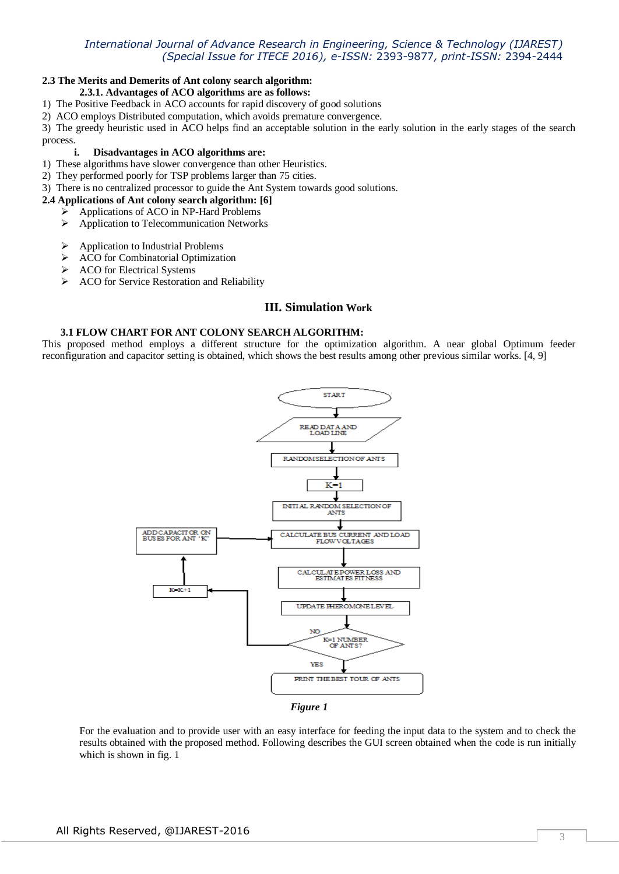## **2.3 The Merits and Demerits of Ant colony search algorithm:**

## **2.3.1. Advantages of ACO algorithms are as follows:**

- 1) The Positive Feedback in ACO accounts for rapid discovery of good solutions
- 2) ACO employs Distributed computation, which avoids premature convergence.

3) The greedy heuristic used in ACO helps find an acceptable solution in the early solution in the early stages of the search process.

## **i. Disadvantages in ACO algorithms are:**

- 1) These algorithms have slower convergence than other Heuristics.
- 2) They performed poorly for TSP problems larger than 75 cities.
- 3) There is no centralized processor to guide the Ant System towards good solutions.
- **2.4 Applications of Ant colony search algorithm: [6]**
	- Applications of ACO in NP-Hard Problems
		- Application to Telecommunication Networks
		- $\triangleright$  Application to Industrial Problems
		- > ACO for Combinatorial Optimization
		- $\triangleright$  ACO for Electrical Systems
		- $\triangleright$  ACO for Service Restoration and Reliability

# **III. Simulation Work**

#### **3.1 FLOW CHART FOR ANT COLONY SEARCH ALGORITHM:**

This proposed method employs a different structure for the optimization algorithm. A near global Optimum feeder reconfiguration and capacitor setting is obtained, which shows the best results among other previous similar works. [4, 9]



*Figure 1*

For the evaluation and to provide user with an easy interface for feeding the input data to the system and to check the results obtained with the proposed method. Following describes the GUI screen obtained when the code is run initially which is shown in fig. 1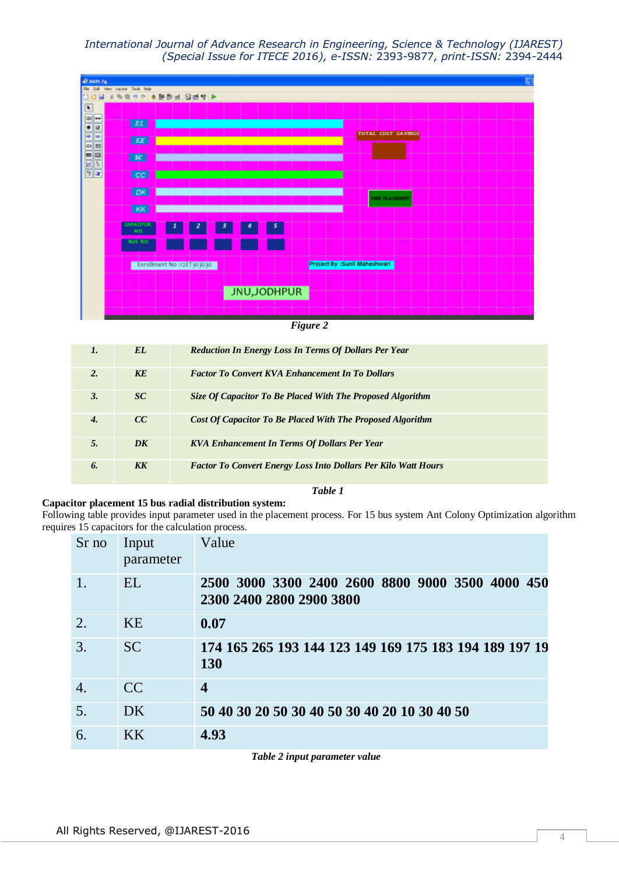

*Figure 2*

| $\mathbf{I}$ .   | EL.             | <b>Reduction In Energy Loss In Terms Of Dollars Per Year</b>          |
|------------------|-----------------|-----------------------------------------------------------------------|
| $\overline{2}$   | KE              | <b>Factor To Convert KVA Enhancement In To Dollars</b>                |
| $\mathbf{3}$     | SC <sup>-</sup> | Size Of Capacitor To Be Placed With The Proposed Algorithm            |
| $\boldsymbol{4}$ | CC              | <b>Cost Of Capacitor To Be Placed With The Proposed Algorithm</b>     |
| 5.               | DK              | <b>KVA Enhancement In Terms Of Dollars Per Year</b>                   |
| 6.               | KK              | <b>Factor To Convert Energy Loss Into Dollars Per Kilo Watt Hours</b> |

#### **Capacitor placement 15 bus radial distribution system:**

Following table provides input parameter used in the placement process. For 15 bus system Ant Colony Optimization algorithm requires 15 capacitors for the calculation process.

*Table 1*

| Sr no            | Input<br>parameter | Value                                                                        |
|------------------|--------------------|------------------------------------------------------------------------------|
| 1.               | EL                 | 2500 3000 3300 2400 2600 8800 9000 3500 4000 450<br>2300 2400 2800 2900 3800 |
| 2.               | <b>KE</b>          | 0.07                                                                         |
| 3.               | <b>SC</b>          | 174 165 265 193 144 123 149 169 175 183 194 189 197 19<br><b>130</b>         |
| $\overline{4}$ . | CC                 | $\overline{\mathbf{4}}$                                                      |
| 5.               | DK                 | 50 40 30 20 50 30 40 50 30 40 20 10 30 40 50                                 |
| 6.               | KK <sup></sup>     | 4.93                                                                         |

*Table 2 input parameter value*